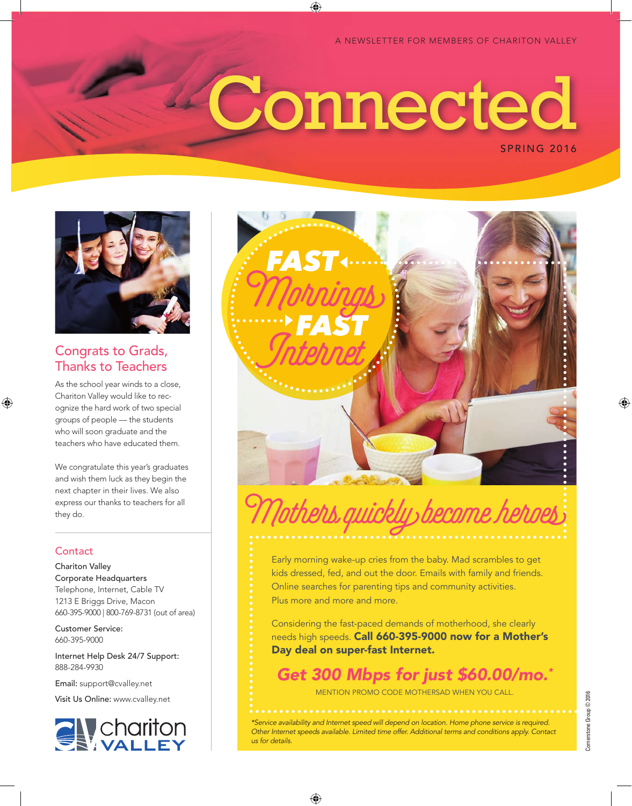A NEWSLETTER FOR MEMBERS OF CHARITON VALLEY

# SPRING 2016 **Connected**

⊕



## Congrats to Grads, Thanks to Teachers

As the school year winds to a close, Chariton Valley would like to recognize the hard work of two special groups of people — the students who will soon graduate and the teachers who have educated them.

We congratulate this year's graduates and wish them luck as they begin the next chapter in their lives. We also express our thanks to teachers for all they do.

## **Contact**

⊕

Chariton Valley Corporate Headquarters Telephone, Internet, Cable TV 1213 E Briggs Drive, Macon 660-395-9000 | 800-769-8731 (out of area)

Customer Service: 660-395-9000

Internet Help Desk 24/7 Support: 888-284-9930

Email: support@cvalley.net

Visit Us Online: www.cvalley.net





# Mothers quickly become heroes

Early morning wake-up cries from the baby. Mad scrambles to get kids dressed, fed, and out the door. Emails with family and friends. Online searches for parenting tips and community activities. Plus more and more and more.

Considering the fast-paced demands of motherhood, she clearly needs high speeds. Call 660-395-9000 now for a Mother's Day deal on super-fast Internet.

*Get 300 Mbps for just \$60.00/mo.\**

MENTION PROMO CODE MOTHERSAD WHEN YOU CALL.

*\*Service availability and Internet speed will depend on location. Home phone service is required. Other Internet speeds available. Limited time offer. Additional terms and conditions apply. Contact us for details.*

♠

♠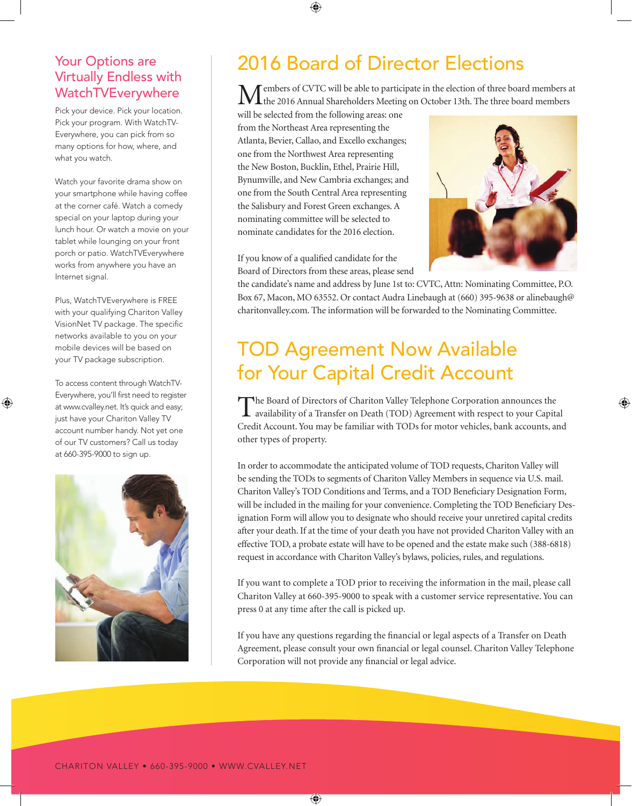## Your Options are Virtually Endless with WatchTVEverywhere

Pick your device. Pick your location. Pick your program. With WatchTV-Everywhere, you can pick from so many options for how, where, and what you watch.

Watch your favorite drama show on your smartphone while having coffee at the corner café. Watch a comedy special on your laptop during your lunch hour. Or watch a movie on your tablet while lounging on your front porch or patio. WatchTVEverywhere works from anywhere you have an Internet signal.

Plus, WatchTVEverywhere is FREE with your qualifying Chariton Valley VisionNet TV package. The specific networks available to you on your mobile devices will be based on your TV package subscription.

To access content through WatchTV-Everywhere, you'll first need to register at www.cvalley.net. It's quick and easy; just have your Chariton Valley TV account number handy. Not yet one of our TV customers? Call us today at 660-395-9000 to sign up.

⊕



## 2016 Board of Director Elections

embers of CVTC will be able to participate in the election of three board members at the 2016 Annual Shareholders Meeting on October 13th. The three board members

will be selected from the following areas: one from the Northeast Area representing the Atlanta, Bevier, Callao, and Excello exchanges; one from the Northwest Area representing the New Boston, Bucklin, Ethel, Prairie Hill, Bynumville, and New Cambria exchanges; and one from the South Central Area representing the Salisbury and Forest Green exchanges. A nominating committee will be selected to nominate candidates for the 2016 election.

⊕



⊕

If you know of a qualified candidate for the Board of Directors from these areas, please send

 $\bigoplus$ 

the candidate's name and address by June 1st to: CVTC, Attn: Nominating Committee, P.O. Box 67, Macon, MO 63552. Or contact Audra Linebaugh at (660) 395-9638 or alinebaugh@ charitonvalley.com. The information will be forwarded to the Nominating Committee.

## TOD Agreement Now Available for Your Capital Credit Account

The Board of Directors of Chariton Valley Telephone Corporation announces the availability of a Transfer on Death (TOD) Agreement with respect to your Capital Credit Account. You may be familiar with TODs for motor vehicles, bank accounts, and other types of property.

In order to accommodate the anticipated volume of TOD requests, Chariton Valley will be sending the TODs to segments of Chariton Valley Members in sequence via U.S. mail. Chariton Valley's TOD Conditions and Terms, and a TOD Beneficiary Designation Form, will be included in the mailing for your convenience. Completing the TOD Beneficiary Designation Form will allow you to designate who should receive your unretired capital credits after your death. If at the time of your death you have not provided Chariton Valley with an effective TOD, a probate estate will have to be opened and the estate make such (388-6818) request in accordance with Chariton Valley's bylaws, policies, rules, and regulations.

If you want to complete a TOD prior to receiving the information in the mail, please call Chariton Valley at 660-395-9000 to speak with a customer service representative. You can press 0 at any time after the call is picked up.

If you have any questions regarding the financial or legal aspects of a Transfer on Death Agreement, please consult your own financial or legal counsel. Chariton Valley Telephone Corporation will not provide any financial or legal advice.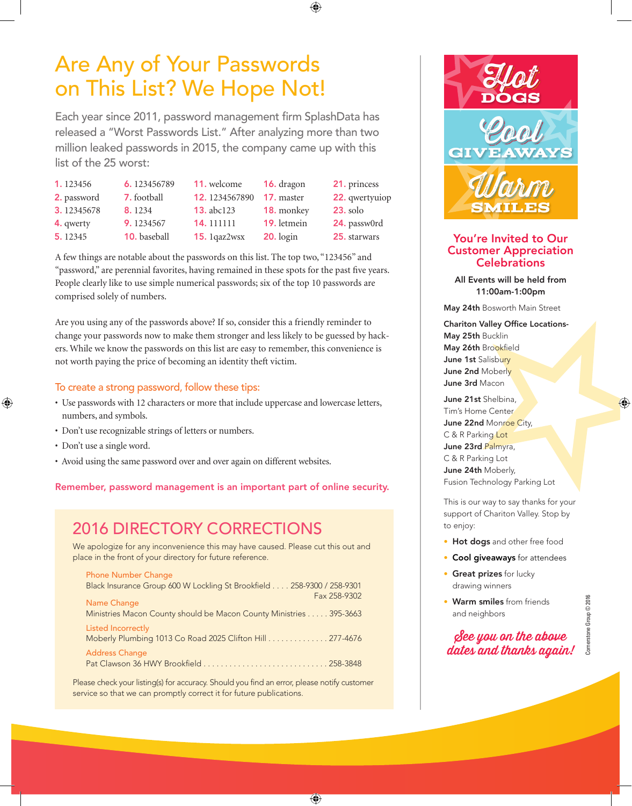# Are Any of Your Passwords on This List? We Hope Not!

Each year since 2011, password management firm SplashData has released a "Worst Passwords List." After analyzing more than two million leaked passwords in 2015, the company came up with this list of the 25 worst:

⊕

| 1.123456    | 6.123456789         | 11. welcome       | <b>16.</b> dragon | 21. princess    |
|-------------|---------------------|-------------------|-------------------|-----------------|
| 2. password | <b>7.</b> football  | 12.1234567890     | <b>17.</b> master | 22. qwertyuiop  |
| 3.12345678  | 8.1234              | <b>13.</b> abc123 | 18. monkey        | <b>23.</b> solo |
| 4. qwerty   | 9.1234567           | 14.111111         | 19. letmein       | 24. passw0rd    |
| 5.12345     | <b>10.</b> baseball | 15. $1qaz2wsx$    | $20.$ login       | 25. starwars    |

A few things are notable about the passwords on this list. The top two, "123456" and "password," are perennial favorites, having remained in these spots for the past five years. People clearly like to use simple numerical passwords; six of the top 10 passwords are comprised solely of numbers.

Are you using any of the passwords above? If so, consider this a friendly reminder to change your passwords now to make them stronger and less likely to be guessed by hackers. While we know the passwords on this list are easy to remember, this convenience is not worth paying the price of becoming an identity theft victim.

### To create a strong password, follow these tips:

- Use passwords with 12 characters or more that include uppercase and lowercase letters, numbers, and symbols.
- Don't use recognizable strings of letters or numbers.
- Don't use a single word.

⊕

• Avoid using the same password over and over again on different websites.

Remember, password management is an important part of online security.

## 2016 DIRECTORY CORRECTIONS

We apologize for any inconvenience this may have caused. Please cut this out and place in the front of your directory for future reference.

| <b>Phone Number Change</b>                                             |
|------------------------------------------------------------------------|
| Black Insurance Group 600 W Lockling St Brookfield 258-9300 / 258-9301 |
| Fax 258-9302<br>Name Change                                            |
| Ministries Macon County should be Macon County Ministries 395-3663     |
| <b>Listed Incorrectly</b>                                              |
| Moberly Plumbing 1013 Co Road 2025 Clifton Hill 277-4676               |
| <b>Address Change</b>                                                  |
|                                                                        |

Please check your listing(s) for accuracy. Should you find an error, please notify customer service so that we can promptly correct it for future publications.

 $\bigoplus$ 



### You're Invited to Our Customer Appreciation **Celebrations**

All Events will be held from 11:00am-1:00pm

May 24th Bosworth Main Street

Chariton Valley Office Locations-May 25th Bucklin May 26th Brookfield June 1st Salisbury June 2nd Moberly June 3rd Macon

June 21st Shelbina, Tim's Home Center June 22nd Monroe City, C & R Parking Lot June 23rd Palmyra, C & R Parking Lot June 24th Moberly, Fusion Technology Parking Lot

This is our way to say thanks for your support of Chariton Valley. Stop by to enjoy:

- Hot dogs and other free food
- Cool giveaways for attendees
- Great prizes for lucky drawing winners
- Warm smiles from friends and neighbors

## See you on the above dates and thanks again!

Cornerstone Group © 2016

ornerstone Group © 2016

⊕